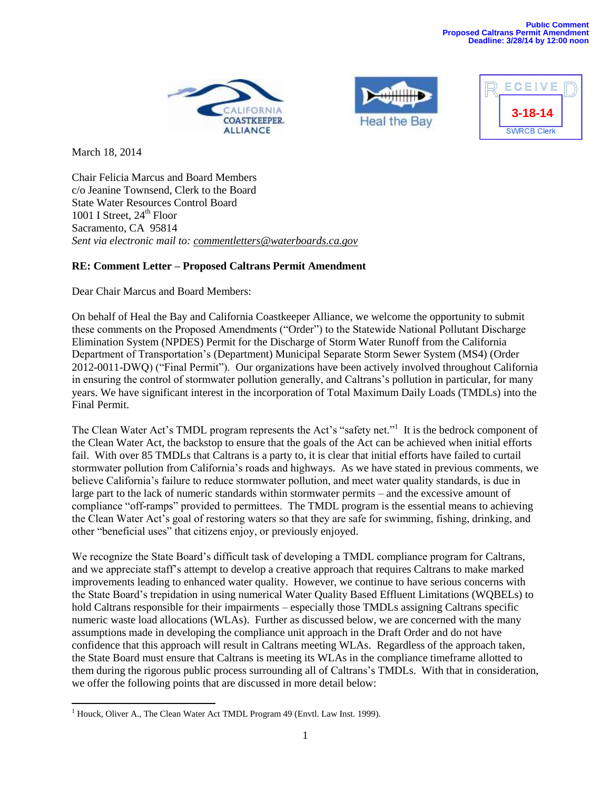





March 18, 2014

Chair Felicia Marcus and Board Members c/o Jeanine Townsend, Clerk to the Board State Water Resources Control Board 1001 I Street,  $24<sup>th</sup>$  Floor Sacramento, CA 95814 *Sent via electronic mail to: [commentletters@waterboards.ca.gov](mailto:commentletters@waterboards.ca.gov)*

# **RE: Comment Letter – Proposed Caltrans Permit Amendment**

Dear Chair Marcus and Board Members:

On behalf of Heal the Bay and California Coastkeeper Alliance, we welcome the opportunity to submit these comments on the Proposed Amendments ("Order") to the Statewide National Pollutant Discharge Elimination System (NPDES) Permit for the Discharge of Storm Water Runoff from the California Department of Transportation's (Department) Municipal Separate Storm Sewer System (MS4) (Order 2012-0011-DWQ) ("Final Permit"). Our organizations have been actively involved throughout California in ensuring the control of stormwater pollution generally, and Caltrans's pollution in particular, for many years. We have significant interest in the incorporation of Total Maximum Daily Loads (TMDLs) into the Final Permit.

The Clean Water Act's TMDL program represents the Act's "safety net."<sup>1</sup> It is the bedrock component of the Clean Water Act, the backstop to ensure that the goals of the Act can be achieved when initial efforts fail. With over 85 TMDLs that Caltrans is a party to, it is clear that initial efforts have failed to curtail stormwater pollution from California's roads and highways. As we have stated in previous comments, we believe California's failure to reduce stormwater pollution, and meet water quality standards, is due in large part to the lack of numeric standards within stormwater permits – and the excessive amount of compliance "off-ramps" provided to permittees. The TMDL program is the essential means to achieving the Clean Water Act's goal of restoring waters so that they are safe for swimming, fishing, drinking, and other "beneficial uses" that citizens enjoy, or previously enjoyed.

We recognize the State Board's difficult task of developing a TMDL compliance program for Caltrans, and we appreciate staff's attempt to develop a creative approach that requires Caltrans to make marked improvements leading to enhanced water quality. However, we continue to have serious concerns with the State Board's trepidation in using numerical Water Quality Based Effluent Limitations (WQBELs) to hold Caltrans responsible for their impairments – especially those TMDLs assigning Caltrans specific numeric waste load allocations (WLAs). Further as discussed below, we are concerned with the many assumptions made in developing the compliance unit approach in the Draft Order and do not have confidence that this approach will result in Caltrans meeting WLAs. Regardless of the approach taken, the State Board must ensure that Caltrans is meeting its WLAs in the compliance timeframe allotted to them during the rigorous public process surrounding all of Caltrans's TMDLs. With that in consideration, we offer the following points that are discussed in more detail below:

 $\overline{\phantom{a}}$ <sup>1</sup> Houck, Oliver A., The Clean Water Act TMDL Program 49 (Envtl. Law Inst. 1999).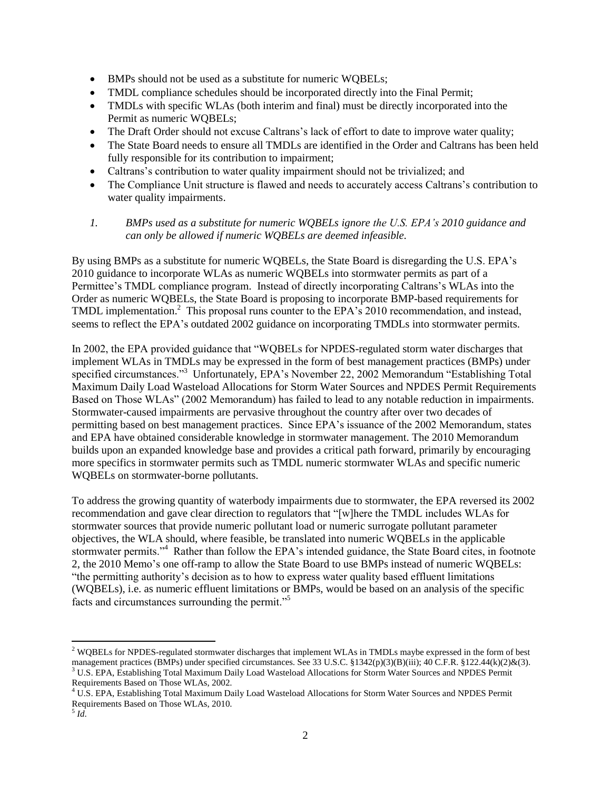- BMPs should not be used as a substitute for numeric WQBELs;
- TMDL compliance schedules should be incorporated directly into the Final Permit;
- TMDLs with specific WLAs (both interim and final) must be directly incorporated into the Permit as numeric WQBELs;
- The Draft Order should not excuse Caltrans's lack of effort to date to improve water quality;
- The State Board needs to ensure all TMDLs are identified in the Order and Caltrans has been held fully responsible for its contribution to impairment;
- Caltrans's contribution to water quality impairment should not be trivialized; and
- The Compliance Unit structure is flawed and needs to accurately access Caltrans's contribution to water quality impairments.

#### *1. BMPs used as a substitute for numeric WQBELs ignore the U.S. EPA's 2010 guidance and can only be allowed if numeric WQBELs are deemed infeasible.*

By using BMPs as a substitute for numeric WQBELs, the State Board is disregarding the U.S. EPA's 2010 guidance to incorporate WLAs as numeric WQBELs into stormwater permits as part of a Permittee's TMDL compliance program. Instead of directly incorporating Caltrans's WLAs into the Order as numeric WQBELs, the State Board is proposing to incorporate BMP-based requirements for TMDL implementation.<sup>2</sup> This proposal runs counter to the EPA's 2010 recommendation, and instead, seems to reflect the EPA's outdated 2002 guidance on incorporating TMDLs into stormwater permits.

In 2002, the EPA provided guidance that "WQBELs for NPDES-regulated storm water discharges that implement WLAs in TMDLs may be expressed in the form of best management practices (BMPs) under specified circumstances."<sup>3</sup> Unfortunately, EPA's November 22, 2002 Memorandum "Establishing Total Maximum Daily Load Wasteload Allocations for Storm Water Sources and NPDES Permit Requirements Based on Those WLAs" (2002 Memorandum) has failed to lead to any notable reduction in impairments. Stormwater-caused impairments are pervasive throughout the country after over two decades of permitting based on best management practices. Since EPA's issuance of the 2002 Memorandum, states and EPA have obtained considerable knowledge in stormwater management. The 2010 Memorandum builds upon an expanded knowledge base and provides a critical path forward, primarily by encouraging more specifics in stormwater permits such as TMDL numeric stormwater WLAs and specific numeric WQBELs on stormwater-borne pollutants.

To address the growing quantity of waterbody impairments due to stormwater, the EPA reversed its 2002 recommendation and gave clear direction to regulators that "[w]here the TMDL includes WLAs for stormwater sources that provide numeric pollutant load or numeric surrogate pollutant parameter objectives, the WLA should, where feasible, be translated into numeric WQBELs in the applicable stormwater permits."<sup>4</sup> Rather than follow the EPA's intended guidance, the State Board cites, in footnote 2, the 2010 Memo's one off-ramp to allow the State Board to use BMPs instead of numeric WQBELs: "the permitting authority's decision as to how to express water quality based effluent limitations (WQBELs), i.e. as numeric effluent limitations or BMPs, would be based on an analysis of the specific facts and circumstances surrounding the permit."<sup>5</sup>

 $\overline{a}$ 

 $2$  WQBELs for NPDES-regulated stormwater discharges that implement WLAs in TMDLs maybe expressed in the form of best management practices (BMPs) under specified circumstances. See 33 U.S.C. §1342(p)(3)(B)(iii); 40 C.F.R. §122.44(k)(2)&(3). <sup>3</sup> U.S. EPA, Establishing Total Maximum Daily Load Wasteload Allocations for Storm Water Sources and NPDES Permit Requirements Based on Those WLAs, 2002.

<sup>&</sup>lt;sup>4</sup> U.S. EPA, Establishing Total Maximum Daily Load Wasteload Allocations for Storm Water Sources and NPDES Permit Requirements Based on Those WLAs, 2010.

<sup>5</sup> *Id*.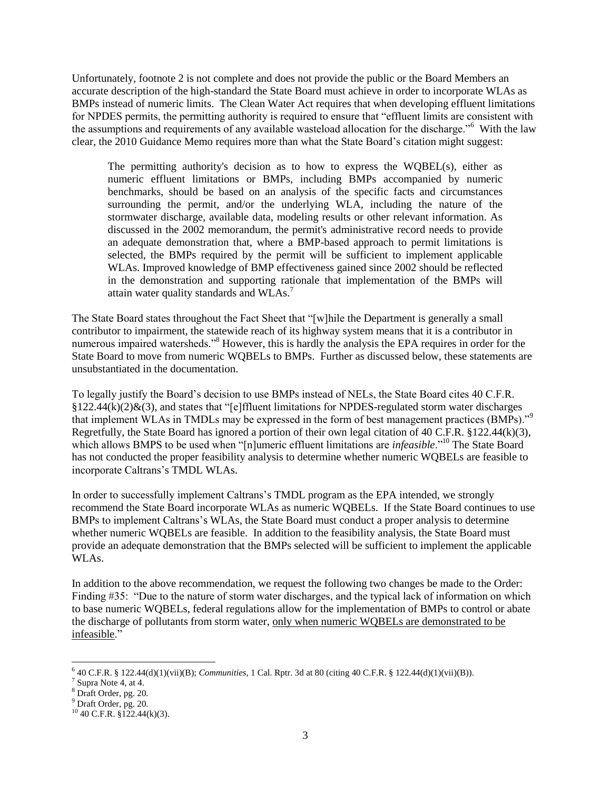Unfortunately, footnote 2 is not complete and does not provide the public or the Board Members an accurate description of the high-standard the State Board must achieve in order to incorporate WLAs as BMPs instead of numeric limits. The Clean Water Act requires that when developing effluent limitations for NPDES permits, the permitting authority is required to ensure that "effluent limits are consistent with the assumptions and requirements of any available wasteload allocation for the discharge."<sup>6</sup> With the law clear, the 2010 Guidance Memo requires more than what the State Board's citation might suggest:

The permitting authority's decision as to how to express the WQBEL(s), either as numeric effluent limitations or BMPs, including BMPs accompanied by numeric benchmarks, should be based on an analysis of the specific facts and circumstances surrounding the permit, and/or the underlying WLA, including the nature of the stormwater discharge, available data, modeling results or other relevant information. As discussed in the 2002 memorandum, the permit's administrative record needs to provide an adequate demonstration that, where a BMP-based approach to permit limitations is selected, the BMPs required by the permit will be sufficient to implement applicable WLAs. Improved knowledge of BMP effectiveness gained since 2002 should be reflected in the demonstration and supporting rationale that implementation of the BMPs will attain water quality standards and WLAs.<sup>7</sup>

The State Board states throughout the Fact Sheet that "[w]hile the Department is generally a small contributor to impairment, the statewide reach of its highway system means that it is a contributor in numerous impaired watersheds."<sup>8</sup> However, this is hardly the analysis the EPA requires in order for the State Board to move from numeric WQBELs to BMPs. Further as discussed below, these statements are unsubstantiated in the documentation.

To legally justify the Board's decision to use BMPs instead of NELs, the State Board cites 40 C.F.R.  $$122.44(k)(2)$ &(3), and states that "[e]ffluent limitations for NPDES-regulated storm water discharges that implement WLAs in TMDLs may be expressed in the form of best management practices (BMPs)."<sup>9</sup> Regretfully, the State Board has ignored a portion of their own legal citation of 40 C.F.R. §122.44(k)(3), which allows BMPS to be used when "[n]umeric effluent limitations are *infeasible*."<sup>10</sup> The State Board has not conducted the proper feasibility analysis to determine whether numeric WQBELs are feasible to incorporate Caltrans's TMDL WLAs.

In order to successfully implement Caltrans's TMDL program as the EPA intended, we strongly recommend the State Board incorporate WLAs as numeric WQBELs. If the State Board continues to use BMPs to implement Caltrans's WLAs, the State Board must conduct a proper analysis to determine whether numeric WQBELs are feasible. In addition to the feasibility analysis, the State Board must provide an adequate demonstration that the BMPs selected will be sufficient to implement the applicable WLAs.

In addition to the above recommendation, we request the following two changes be made to the Order: Finding #35: "Due to the nature of storm water discharges, and the typical lack of information on which to base numeric WQBELs, federal regulations allow for the implementation of BMPs to control or abate the discharge of pollutants from storm water, only when numeric WQBELs are demonstrated to be infeasible."

l 6 40 C.F.R. § 122.44(d)(1)(vii)(B); *Communities*, 1 Cal. Rptr. 3d at 80 (citing 40 C.F.R. § 122.44(d)(1)(vii)(B)).

 $7$  Supra Note 4, at 4.

<sup>8</sup> Draft Order, pg. 20.

<sup>9</sup> Draft Order, pg. 20.

 $10$  40 C.F.R. §122.44(k)(3).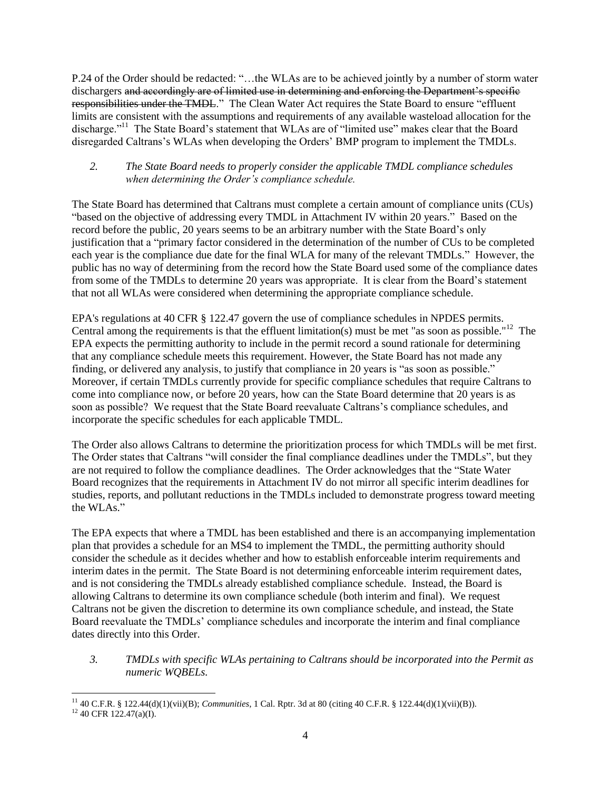P.24 of the Order should be redacted: "…the WLAs are to be achieved jointly by a number of storm water dischargers and accordingly are of limited use in determining and enforcing the Department's specific responsibilities under the TMDL." The Clean Water Act requires the State Board to ensure "effluent limits are consistent with the assumptions and requirements of any available wasteload allocation for the discharge."<sup>11</sup> The State Board's statement that WLAs are of "limited use" makes clear that the Board disregarded Caltrans's WLAs when developing the Orders' BMP program to implement the TMDLs.

### *2. The State Board needs to properly consider the applicable TMDL compliance schedules when determining the Order's compliance schedule.*

The State Board has determined that Caltrans must complete a certain amount of compliance units (CUs) "based on the objective of addressing every TMDL in Attachment IV within 20 years." Based on the record before the public, 20 years seems to be an arbitrary number with the State Board's only justification that a "primary factor considered in the determination of the number of CUs to be completed each year is the compliance due date for the final WLA for many of the relevant TMDLs." However, the public has no way of determining from the record how the State Board used some of the compliance dates from some of the TMDLs to determine 20 years was appropriate. It is clear from the Board's statement that not all WLAs were considered when determining the appropriate compliance schedule.

EPA's regulations at 40 CFR § 122.47 govern the use of compliance schedules in NPDES permits. Central among the requirements is that the effluent limitation(s) must be met "as soon as possible."<sup>12</sup> The EPA expects the permitting authority to include in the permit record a sound rationale for determining that any compliance schedule meets this requirement. However, the State Board has not made any finding, or delivered any analysis, to justify that compliance in 20 years is "as soon as possible." Moreover, if certain TMDLs currently provide for specific compliance schedules that require Caltrans to come into compliance now, or before 20 years, how can the State Board determine that 20 years is as soon as possible? We request that the State Board reevaluate Caltrans's compliance schedules, and incorporate the specific schedules for each applicable TMDL.

The Order also allows Caltrans to determine the prioritization process for which TMDLs will be met first. The Order states that Caltrans "will consider the final compliance deadlines under the TMDLs", but they are not required to follow the compliance deadlines. The Order acknowledges that the "State Water Board recognizes that the requirements in Attachment IV do not mirror all specific interim deadlines for studies, reports, and pollutant reductions in the TMDLs included to demonstrate progress toward meeting the WLAs."

The EPA expects that where a TMDL has been established and there is an accompanying implementation plan that provides a schedule for an MS4 to implement the TMDL, the permitting authority should consider the schedule as it decides whether and how to establish enforceable interim requirements and interim dates in the permit. The State Board is not determining enforceable interim requirement dates, and is not considering the TMDLs already established compliance schedule. Instead, the Board is allowing Caltrans to determine its own compliance schedule (both interim and final). We request Caltrans not be given the discretion to determine its own compliance schedule, and instead, the State Board reevaluate the TMDLs' compliance schedules and incorporate the interim and final compliance dates directly into this Order.

*3. TMDLs with specific WLAs pertaining to Caltrans should be incorporated into the Permit as numeric WQBELs.*

 $\overline{a}$ <sup>11</sup> 40 C.F.R. § 122.44(d)(1)(vii)(B); *Communities*, 1 Cal. Rptr. 3d at 80 (citing 40 C.F.R. § 122.44(d)(1)(vii)(B)).

 $12$  40 CFR 122.47(a)(I).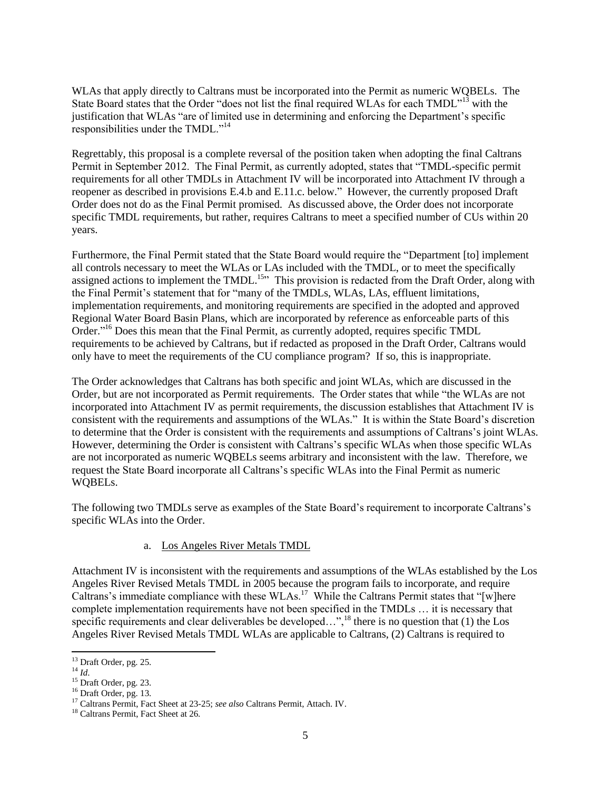WLAs that apply directly to Caltrans must be incorporated into the Permit as numeric WQBELs. The State Board states that the Order "does not list the final required WLAs for each TMDL"<sup>13</sup> with the justification that WLAs "are of limited use in determining and enforcing the Department's specific responsibilities under the TMDL."<sup>14</sup>

Regrettably, this proposal is a complete reversal of the position taken when adopting the final Caltrans Permit in September 2012. The Final Permit, as currently adopted, states that "TMDL-specific permit requirements for all other TMDLs in Attachment IV will be incorporated into Attachment IV through a reopener as described in provisions E.4.b and E.11.c. below." However, the currently proposed Draft Order does not do as the Final Permit promised. As discussed above, the Order does not incorporate specific TMDL requirements, but rather, requires Caltrans to meet a specified number of CUs within 20 years.

Furthermore, the Final Permit stated that the State Board would require the "Department [to] implement all controls necessary to meet the WLAs or LAs included with the TMDL, or to meet the specifically assigned actions to implement the TMDL.<sup>15</sup><sup>15</sup> This provision is redacted from the Draft Order, along with the Final Permit's statement that for "many of the TMDLs, WLAs, LAs, effluent limitations, implementation requirements, and monitoring requirements are specified in the adopted and approved Regional Water Board Basin Plans, which are incorporated by reference as enforceable parts of this Order."<sup>16</sup> Does this mean that the Final Permit, as currently adopted, requires specific TMDL requirements to be achieved by Caltrans, but if redacted as proposed in the Draft Order, Caltrans would only have to meet the requirements of the CU compliance program? If so, this is inappropriate.

The Order acknowledges that Caltrans has both specific and joint WLAs, which are discussed in the Order, but are not incorporated as Permit requirements. The Order states that while "the WLAs are not incorporated into Attachment IV as permit requirements, the discussion establishes that Attachment IV is consistent with the requirements and assumptions of the WLAs." It is within the State Board's discretion to determine that the Order is consistent with the requirements and assumptions of Caltrans's joint WLAs. However, determining the Order is consistent with Caltrans's specific WLAs when those specific WLAs are not incorporated as numeric WQBELs seems arbitrary and inconsistent with the law. Therefore, we request the State Board incorporate all Caltrans's specific WLAs into the Final Permit as numeric WQBELs.

The following two TMDLs serve as examples of the State Board's requirement to incorporate Caltrans's specific WLAs into the Order.

#### a. Los Angeles River Metals TMDL

Attachment IV is inconsistent with the requirements and assumptions of the WLAs established by the Los Angeles River Revised Metals TMDL in 2005 because the program fails to incorporate, and require Caltrans's immediate compliance with these WLAs.<sup>17</sup> While the Caltrans Permit states that "[w]here complete implementation requirements have not been specified in the TMDLs … it is necessary that specific requirements and clear deliverables be developed...",<sup>18</sup> there is no question that (1) the Los Angeles River Revised Metals TMDL WLAs are applicable to Caltrans, (2) Caltrans is required to

<sup>14</sup> *Id*.

 $\overline{\phantom{a}}$ 

 $13$  Draft Order, pg. 25.

<sup>15</sup> Draft Order, pg. 23.

<sup>16</sup> Draft Order, pg. 13.

<sup>17</sup> Caltrans Permit, Fact Sheet at 23-25; *see also* Caltrans Permit, Attach. IV.

<sup>18</sup> Caltrans Permit, Fact Sheet at 26.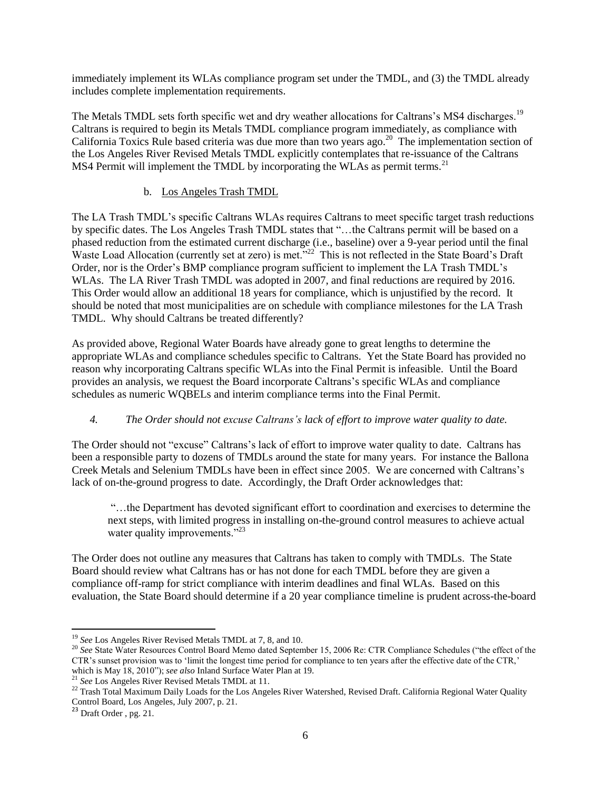immediately implement its WLAs compliance program set under the TMDL, and (3) the TMDL already includes complete implementation requirements.

The Metals TMDL sets forth specific wet and dry weather allocations for Caltrans's MS4 discharges.<sup>19</sup> Caltrans is required to begin its Metals TMDL compliance program immediately, as compliance with California Toxics Rule based criteria was due more than two years ago.<sup>20</sup> The implementation section of the Los Angeles River Revised Metals TMDL explicitly contemplates that re-issuance of the Caltrans MS4 Permit will implement the TMDL by incorporating the WLAs as permit terms.<sup>21</sup>

# b. Los Angeles Trash TMDL

The LA Trash TMDL's specific Caltrans WLAs requires Caltrans to meet specific target trash reductions by specific dates. The Los Angeles Trash TMDL states that "…the Caltrans permit will be based on a phased reduction from the estimated current discharge (i.e., baseline) over a 9-year period until the final Waste Load Allocation (currently set at zero) is met.<sup>722</sup> This is not reflected in the State Board's Draft Order, nor is the Order's BMP compliance program sufficient to implement the LA Trash TMDL's WLAs. The LA River Trash TMDL was adopted in 2007, and final reductions are required by 2016. This Order would allow an additional 18 years for compliance, which is unjustified by the record. It should be noted that most municipalities are on schedule with compliance milestones for the LA Trash TMDL. Why should Caltrans be treated differently?

As provided above, Regional Water Boards have already gone to great lengths to determine the appropriate WLAs and compliance schedules specific to Caltrans. Yet the State Board has provided no reason why incorporating Caltrans specific WLAs into the Final Permit is infeasible. Until the Board provides an analysis, we request the Board incorporate Caltrans's specific WLAs and compliance schedules as numeric WQBELs and interim compliance terms into the Final Permit.

# *4. The Order should not excuse Caltrans's lack of effort to improve water quality to date.*

The Order should not "excuse" Caltrans's lack of effort to improve water quality to date. Caltrans has been a responsible party to dozens of TMDLs around the state for many years. For instance the Ballona Creek Metals and Selenium TMDLs have been in effect since 2005. We are concerned with Caltrans's lack of on-the-ground progress to date. Accordingly, the Draft Order acknowledges that:

"…the Department has devoted significant effort to coordination and exercises to determine the next steps, with limited progress in installing on-the-ground control measures to achieve actual water quality improvements."<sup>23</sup>

The Order does not outline any measures that Caltrans has taken to comply with TMDLs. The State Board should review what Caltrans has or has not done for each TMDL before they are given a compliance off-ramp for strict compliance with interim deadlines and final WLAs. Based on this evaluation, the State Board should determine if a 20 year compliance timeline is prudent across-the-board

 $\overline{\phantom{a}}$ <sup>19</sup> *See* Los Angeles River Revised Metals TMDL at 7, 8, and 10.

<sup>&</sup>lt;sup>20</sup> See State Water Resources Control Board Memo dated September 15, 2006 Re: CTR Compliance Schedules ("the effect of the CTR's sunset provision was to 'limit the longest time period for compliance to ten years after the effective date of the CTR,' which is May 18, 2010"); *see also* Inland Surface Water Plan at 19.

<sup>21</sup> *See* Los Angeles River Revised Metals TMDL at 11.

 $^{22}$  Trash Total Maximum Daily Loads for the Los Angeles River Watershed, Revised Draft. California Regional Water Quality Control Board, Los Angeles, July 2007, p. 21.

 $^{23}$  Draft Order, pg. 21.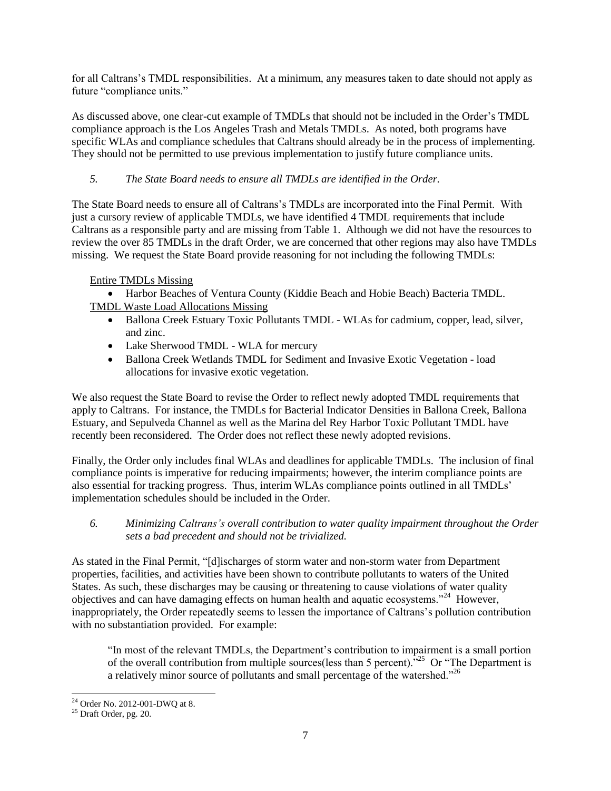for all Caltrans's TMDL responsibilities. At a minimum, any measures taken to date should not apply as future "compliance units."

As discussed above, one clear-cut example of TMDLs that should not be included in the Order's TMDL compliance approach is the Los Angeles Trash and Metals TMDLs. As noted, both programs have specific WLAs and compliance schedules that Caltrans should already be in the process of implementing. They should not be permitted to use previous implementation to justify future compliance units.

# *5. The State Board needs to ensure all TMDLs are identified in the Order.*

The State Board needs to ensure all of Caltrans's TMDLs are incorporated into the Final Permit. With just a cursory review of applicable TMDLs, we have identified 4 TMDL requirements that include Caltrans as a responsible party and are missing from Table 1. Although we did not have the resources to review the over 85 TMDLs in the draft Order, we are concerned that other regions may also have TMDLs missing. We request the State Board provide reasoning for not including the following TMDLs:

# Entire TMDLs Missing

 Harbor Beaches of Ventura County (Kiddie Beach and Hobie Beach) Bacteria TMDL. TMDL Waste Load Allocations Missing

- Ballona Creek Estuary Toxic Pollutants TMDL WLAs for cadmium, copper, lead, silver, and zinc.
- Lake Sherwood TMDL WLA for mercury
- Ballona Creek Wetlands TMDL for Sediment and Invasive Exotic Vegetation load allocations for invasive exotic vegetation.

We also request the State Board to revise the Order to reflect newly adopted TMDL requirements that apply to Caltrans. For instance, the TMDLs for Bacterial Indicator Densities in Ballona Creek, Ballona Estuary, and Sepulveda Channel as well as the Marina del Rey Harbor Toxic Pollutant TMDL have recently been reconsidered. The Order does not reflect these newly adopted revisions.

Finally, the Order only includes final WLAs and deadlines for applicable TMDLs. The inclusion of final compliance points is imperative for reducing impairments; however, the interim compliance points are also essential for tracking progress. Thus, interim WLAs compliance points outlined in all TMDLs' implementation schedules should be included in the Order.

### *6. Minimizing Caltrans's overall contribution to water quality impairment throughout the Order sets a bad precedent and should not be trivialized.*

As stated in the Final Permit, "[d]ischarges of storm water and non-storm water from Department properties, facilities, and activities have been shown to contribute pollutants to waters of the United States. As such, these discharges may be causing or threatening to cause violations of water quality objectives and can have damaging effects on human health and aquatic ecosystems."<sup>24</sup> However, inappropriately, the Order repeatedly seems to lessen the importance of Caltrans's pollution contribution with no substantiation provided. For example:

"In most of the relevant TMDLs, the Department's contribution to impairment is a small portion of the overall contribution from multiple sources (less than 5 percent).<sup>525</sup> Or "The Department is a relatively minor source of pollutants and small percentage of the watershed."<sup>26</sup>

 $\overline{a}$ 

 $24$  Order No. 2012-001-DWQ at 8.

<sup>25</sup> Draft Order, pg. 20.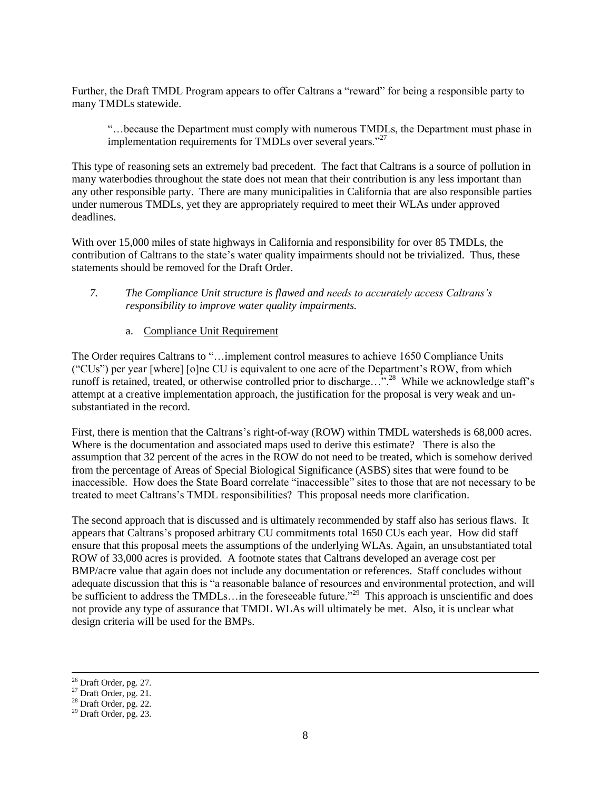Further, the Draft TMDL Program appears to offer Caltrans a "reward" for being a responsible party to many TMDLs statewide.

"…because the Department must comply with numerous TMDLs, the Department must phase in implementation requirements for TMDLs over several years."<sup>27</sup>

This type of reasoning sets an extremely bad precedent. The fact that Caltrans is a source of pollution in many waterbodies throughout the state does not mean that their contribution is any less important than any other responsible party. There are many municipalities in California that are also responsible parties under numerous TMDLs, yet they are appropriately required to meet their WLAs under approved deadlines.

With over 15,000 miles of state highways in California and responsibility for over 85 TMDLs, the contribution of Caltrans to the state's water quality impairments should not be trivialized. Thus, these statements should be removed for the Draft Order.

- *7. The Compliance Unit structure is flawed and needs to accurately access Caltrans's responsibility to improve water quality impairments.*
	- a. Compliance Unit Requirement

The Order requires Caltrans to "…implement control measures to achieve 1650 Compliance Units ("CUs") per year [where] [o]ne CU is equivalent to one acre of the Department's ROW, from which runoff is retained, treated, or otherwise controlled prior to discharge..."<sup>28</sup> While we acknowledge staff's attempt at a creative implementation approach, the justification for the proposal is very weak and unsubstantiated in the record.

First, there is mention that the Caltrans's right-of-way (ROW) within TMDL watersheds is 68,000 acres. Where is the documentation and associated maps used to derive this estimate? There is also the assumption that 32 percent of the acres in the ROW do not need to be treated, which is somehow derived from the percentage of Areas of Special Biological Significance (ASBS) sites that were found to be inaccessible. How does the State Board correlate "inaccessible" sites to those that are not necessary to be treated to meet Caltrans's TMDL responsibilities? This proposal needs more clarification.

The second approach that is discussed and is ultimately recommended by staff also has serious flaws. It appears that Caltrans's proposed arbitrary CU commitments total 1650 CUs each year. How did staff ensure that this proposal meets the assumptions of the underlying WLAs. Again, an unsubstantiated total ROW of 33,000 acres is provided. A footnote states that Caltrans developed an average cost per BMP/acre value that again does not include any documentation or references. Staff concludes without adequate discussion that this is "a reasonable balance of resources and environmental protection, and will be sufficient to address the TMDLs... in the foreseeable future."<sup>29</sup> This approach is unscientific and does not provide any type of assurance that TMDL WLAs will ultimately be met. Also, it is unclear what design criteria will be used for the BMPs.

 $\overline{\phantom{a}}$ 

<sup>26</sup> Draft Order, pg. 27.

 $27$  Draft Order, pg. 21.

 $28$  Draft Order, pg. 22.

 $29$  Draft Order, pg. 23.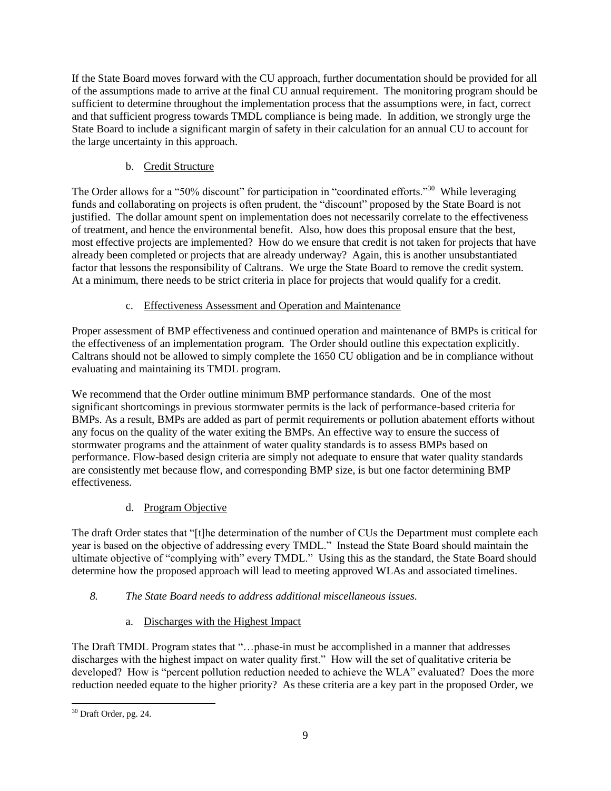If the State Board moves forward with the CU approach, further documentation should be provided for all of the assumptions made to arrive at the final CU annual requirement. The monitoring program should be sufficient to determine throughout the implementation process that the assumptions were, in fact, correct and that sufficient progress towards TMDL compliance is being made. In addition, we strongly urge the State Board to include a significant margin of safety in their calculation for an annual CU to account for the large uncertainty in this approach.

# b. Credit Structure

The Order allows for a "50% discount" for participation in "coordinated efforts."<sup>30</sup> While leveraging funds and collaborating on projects is often prudent, the "discount" proposed by the State Board is not justified. The dollar amount spent on implementation does not necessarily correlate to the effectiveness of treatment, and hence the environmental benefit. Also, how does this proposal ensure that the best, most effective projects are implemented? How do we ensure that credit is not taken for projects that have already been completed or projects that are already underway? Again, this is another unsubstantiated factor that lessons the responsibility of Caltrans. We urge the State Board to remove the credit system. At a minimum, there needs to be strict criteria in place for projects that would qualify for a credit.

# c. Effectiveness Assessment and Operation and Maintenance

Proper assessment of BMP effectiveness and continued operation and maintenance of BMPs is critical for the effectiveness of an implementation program. The Order should outline this expectation explicitly. Caltrans should not be allowed to simply complete the 1650 CU obligation and be in compliance without evaluating and maintaining its TMDL program.

We recommend that the Order outline minimum BMP performance standards. One of the most significant shortcomings in previous stormwater permits is the lack of performance-based criteria for BMPs. As a result, BMPs are added as part of permit requirements or pollution abatement efforts without any focus on the quality of the water exiting the BMPs. An effective way to ensure the success of stormwater programs and the attainment of water quality standards is to assess BMPs based on performance. Flow-based design criteria are simply not adequate to ensure that water quality standards are consistently met because flow, and corresponding BMP size, is but one factor determining BMP effectiveness.

# d. Program Objective

The draft Order states that "[t]he determination of the number of CUs the Department must complete each year is based on the objective of addressing every TMDL." Instead the State Board should maintain the ultimate objective of "complying with" every TMDL." Using this as the standard, the State Board should determine how the proposed approach will lead to meeting approved WLAs and associated timelines.

# *8. The State Board needs to address additional miscellaneous issues.*

a. Discharges with the Highest Impact

The Draft TMDL Program states that "…phase-in must be accomplished in a manner that addresses discharges with the highest impact on water quality first." How will the set of qualitative criteria be developed? How is "percent pollution reduction needed to achieve the WLA" evaluated? Does the more reduction needed equate to the higher priority? As these criteria are a key part in the proposed Order, we

 $\overline{\phantom{a}}$  $30$  Draft Order, pg. 24.